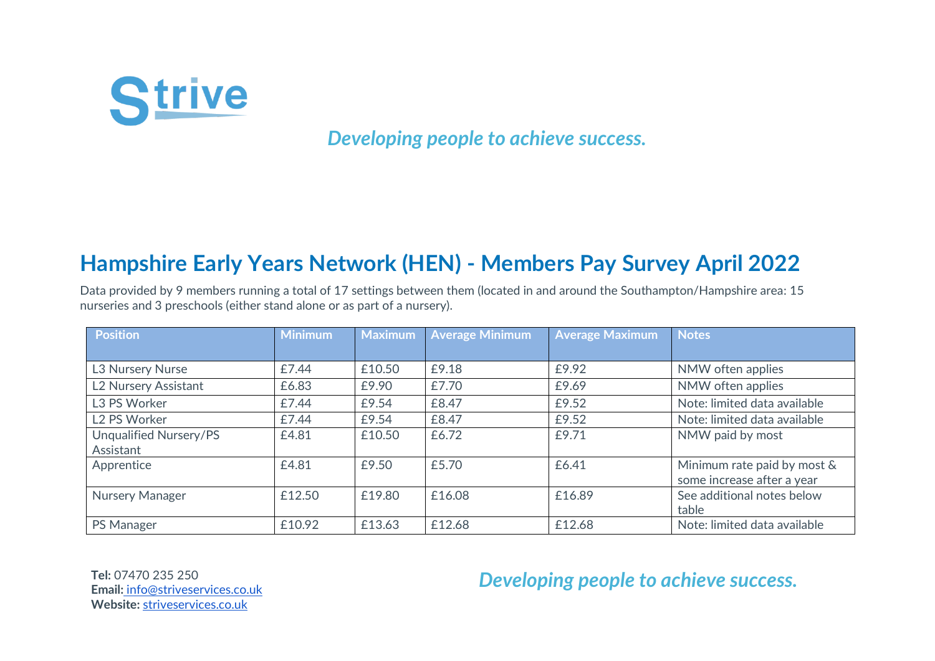

*Developing people to achieve success.*

## **Hampshire Early Years Network (HEN) - Members Pay Survey April 2022**

Data provided by 9 members running a total of 17 settings between them (located in and around the Southampton/Hampshire area: 15 nurseries and 3 preschools (either stand alone or as part of a nursery).

| <b>Position</b>          | <b>Minimum</b> | Maximum | <b>Average Minimum</b> | <b>Average Maximum</b> | <b>Notes</b>                 |
|--------------------------|----------------|---------|------------------------|------------------------|------------------------------|
|                          |                |         |                        |                        |                              |
| L3 Nursery Nurse         | £7.44          | £10.50  | £9.18                  | £9.92                  | NMW often applies            |
| L2 Nursery Assistant     | £6.83          | £9.90   | £7.70                  | £9.69                  | NMW often applies            |
| L3 PS Worker             | £7.44          | £9.54   | £8.47                  | £9.52                  | Note: limited data available |
| L <sub>2</sub> PS Worker | £7.44          | £9.54   | £8.47                  | £9.52                  | Note: limited data available |
| Unqualified Nursery/PS   | £4.81          | £10.50  | £6.72                  | £9.71                  | NMW paid by most             |
| Assistant                |                |         |                        |                        |                              |
| Apprentice               | £4.81          | £9.50   | £5.70                  | £6.41                  | Minimum rate paid by most &  |
|                          |                |         |                        |                        | some increase after a year   |
| Nursery Manager          | £12.50         | £19.80  | £16.08                 | £16.89                 | See additional notes below   |
|                          |                |         |                        |                        | table                        |
| <b>PS Manager</b>        | £10.92         | £13.63  | £12.68                 | £12.68                 | Note: limited data available |

**Tel:** 07470 235 250 **Email[:](mailto:info@striveservices.co.uk)** [info@striveservices.co.uk](mailto:info@striveservices.co.uk) **Website:** [striveservices.co.uk](http://www.striveservices.co.uk/) 

## *Developing people to achieve success.*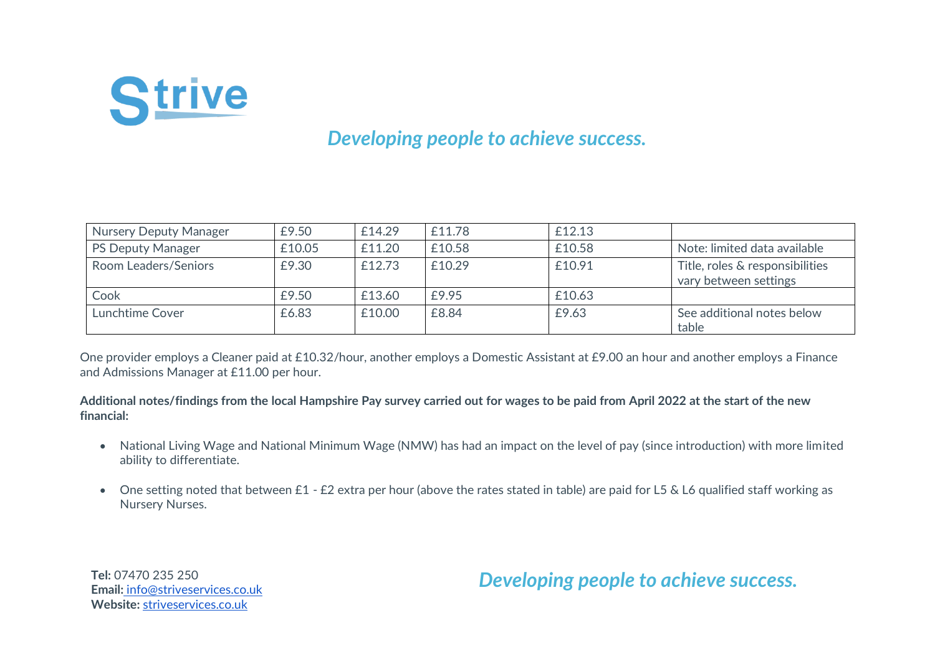

## *Developing people to achieve success.*

| <b>Nursery Deputy Manager</b> | £9.50  | £14.29 | £11.78 | £12.13 |                                                          |
|-------------------------------|--------|--------|--------|--------|----------------------------------------------------------|
| <b>PS Deputy Manager</b>      | £10.05 | £11.20 | £10.58 | £10.58 | Note: limited data available                             |
| Room Leaders/Seniors          | £9.30  | £12.73 | £10.29 | £10.91 | Title, roles & responsibilities<br>vary between settings |
| Cook                          | £9.50  | £13.60 | £9.95  | £10.63 |                                                          |
| Lunchtime Cover               | £6.83  | £10.00 | £8.84  | £9.63  | See additional notes below<br>table                      |

One provider employs a Cleaner paid at £10.32/hour, another employs a Domestic Assistant at £9.00 an hour and another employs a Finance and Admissions Manager at £11.00 per hour.

**Additional notes/findings from the local Hampshire Pay survey carried out for wages to be paid from April 2022 at the start of the new financial:**

- National Living Wage and National Minimum Wage (NMW) has had an impact on the level of pay (since introduction) with more limited ability to differentiate.
- One setting noted that between £1 £2 extra per hour (above the rates stated in table) are paid for L5 & L6 qualified staff working as Nursery Nurses.

**Tel:** 07470 235 250 **Email[:](mailto:info@striveservices.co.uk)** [info@striveservices.co.uk](mailto:info@striveservices.co.uk) **Website:** [striveservices.co.uk](http://www.striveservices.co.uk/) 

*Developing people to achieve success.*